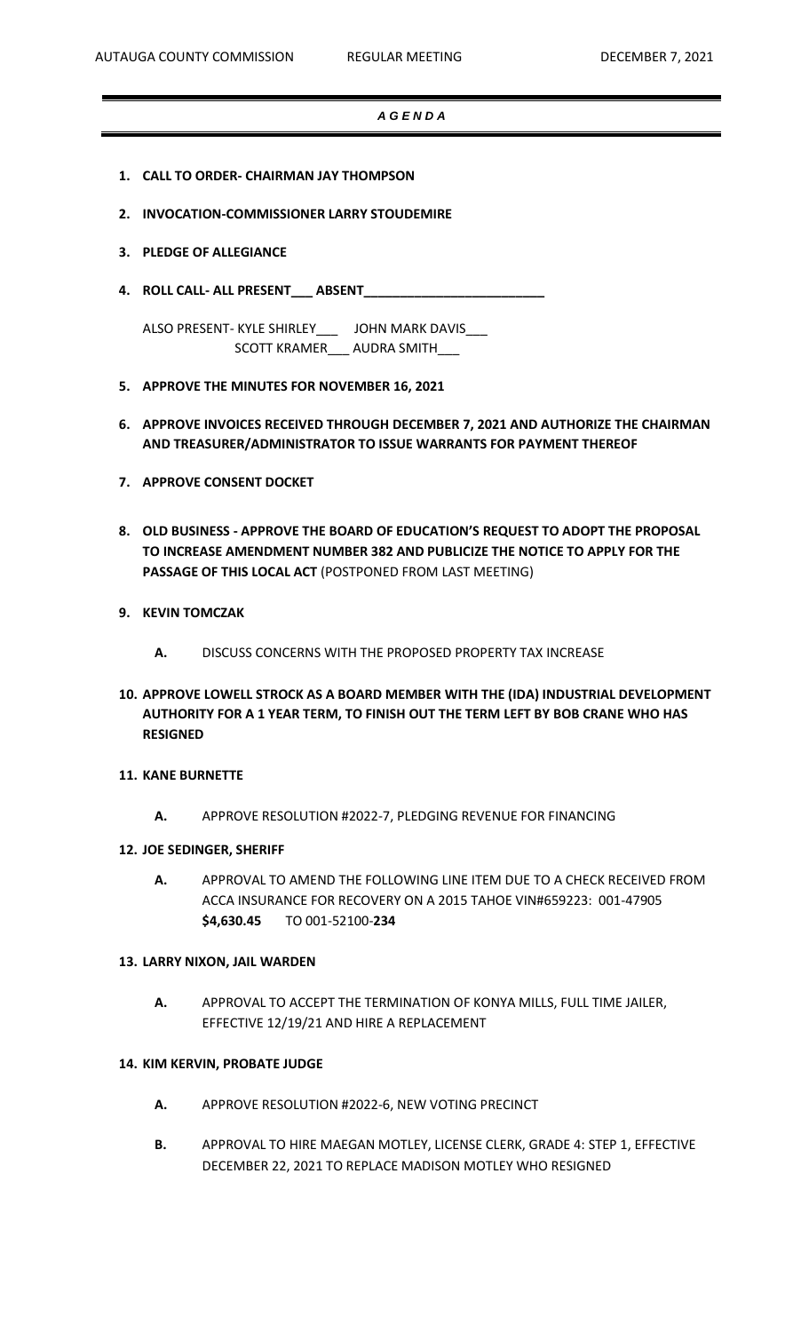### *A G E N D A*

- **1. CALL TO ORDER- CHAIRMAN JAY THOMPSON**
- **2. INVOCATION-COMMISSIONER LARRY STOUDEMIRE**
- **3. PLEDGE OF ALLEGIANCE**
- **4. ROLL CALL- ALL PRESENT\_\_\_ ABSENT\_\_\_\_\_\_\_\_\_\_\_\_\_\_\_\_\_\_\_\_\_\_\_\_\_**

ALSO PRESENT- KYLE SHIRLEY\_\_\_ JOHN MARK DAVIS\_\_\_ SCOTT KRAMER\_\_\_ AUDRA SMITH\_\_\_

- **5. APPROVE THE MINUTES FOR NOVEMBER 16, 2021**
- **6. APPROVE INVOICES RECEIVED THROUGH DECEMBER 7, 2021 AND AUTHORIZE THE CHAIRMAN AND TREASURER/ADMINISTRATOR TO ISSUE WARRANTS FOR PAYMENT THEREOF**
- **7. APPROVE CONSENT DOCKET**
- **8. OLD BUSINESS - APPROVE THE BOARD OF EDUCATION'S REQUEST TO ADOPT THE PROPOSAL TO INCREASE AMENDMENT NUMBER 382 AND PUBLICIZE THE NOTICE TO APPLY FOR THE PASSAGE OF THIS LOCAL ACT** (POSTPONED FROM LAST MEETING)
- **9. KEVIN TOMCZAK**
	- **A.** DISCUSS CONCERNS WITH THE PROPOSED PROPERTY TAX INCREASE
- **10. APPROVE LOWELL STROCK AS A BOARD MEMBER WITH THE (IDA) INDUSTRIAL DEVELOPMENT AUTHORITY FOR A 1 YEAR TERM, TO FINISH OUT THE TERM LEFT BY BOB CRANE WHO HAS RESIGNED**
- **11. KANE BURNETTE**
	- **A.** APPROVE RESOLUTION #2022-7, PLEDGING REVENUE FOR FINANCING
- **12. JOE SEDINGER, SHERIFF**
	- **A.** APPROVAL TO AMEND THE FOLLOWING LINE ITEM DUE TO A CHECK RECEIVED FROM ACCA INSURANCE FOR RECOVERY ON A 2015 TAHOE VIN#659223: 001-47905 **\$4,630.45** TO 001-52100-**234**

#### **13. LARRY NIXON, JAIL WARDEN**

**A.** APPROVAL TO ACCEPT THE TERMINATION OF KONYA MILLS, FULL TIME JAILER, EFFECTIVE 12/19/21 AND HIRE A REPLACEMENT

### **14. KIM KERVIN, PROBATE JUDGE**

- **A.** APPROVE RESOLUTION #2022-6, NEW VOTING PRECINCT
- **B.** APPROVAL TO HIRE MAEGAN MOTLEY, LICENSE CLERK, GRADE 4: STEP 1, EFFECTIVE DECEMBER 22, 2021 TO REPLACE MADISON MOTLEY WHO RESIGNED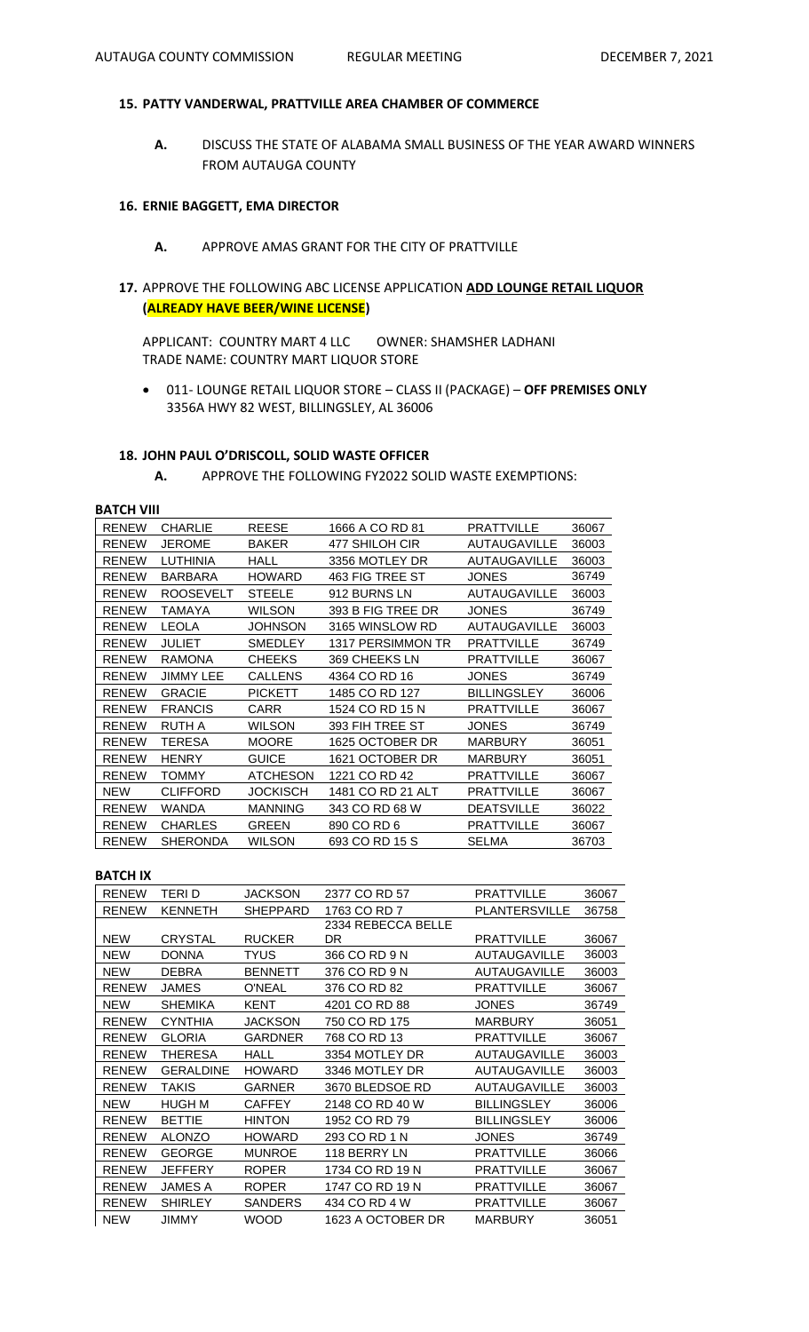# **15. PATTY VANDERWAL, PRATTVILLE AREA CHAMBER OF COMMERCE**

**A.** DISCUSS THE STATE OF ALABAMA SMALL BUSINESS OF THE YEAR AWARD WINNERS FROM AUTAUGA COUNTY

# **16. ERNIE BAGGETT, EMA DIRECTOR**

- **A.** APPROVE AMAS GRANT FOR THE CITY OF PRATTVILLE
- **17.** APPROVE THE FOLLOWING ABC LICENSE APPLICATION **ADD LOUNGE RETAIL LIQUOR (ALREADY HAVE BEER/WINE LICENSE)**

APPLICANT: COUNTRY MART 4 LLC OWNER: SHAMSHER LADHANI TRADE NAME: COUNTRY MART LIQUOR STORE

• 011- LOUNGE RETAIL LIQUOR STORE – CLASS II (PACKAGE) – **OFF PREMISES ONLY** 3356A HWY 82 WEST, BILLINGSLEY, AL 36006

# **18. JOHN PAUL O'DRISCOLL, SOLID WASTE OFFICER**

**A.** APPROVE THE FOLLOWING FY2022 SOLID WASTE EXEMPTIONS:

# **BATCH VIII**

| <b>RENEW</b> | <b>CHARLIE</b>   | <b>REESE</b>    | 1666 A CO RD 81   | <b>PRATTVILLE</b>   | 36067 |
|--------------|------------------|-----------------|-------------------|---------------------|-------|
| <b>RENEW</b> | <b>JEROME</b>    | <b>BAKER</b>    | 477 SHILOH CIR    | <b>AUTAUGAVILLE</b> | 36003 |
| <b>RENEW</b> | LUTHINIA         | <b>HALL</b>     | 3356 MOTLEY DR    | <b>AUTAUGAVILLE</b> | 36003 |
| <b>RENEW</b> | <b>BARBARA</b>   | <b>HOWARD</b>   | 463 FIG TREE ST   | <b>JONES</b>        | 36749 |
| <b>RENEW</b> | <b>ROOSEVELT</b> | <b>STEELE</b>   | 912 BURNS LN      | <b>AUTAUGAVILLE</b> | 36003 |
| <b>RENEW</b> | TAMAYA           | <b>WILSON</b>   | 393 B FIG TREE DR | <b>JONES</b>        | 36749 |
| <b>RENEW</b> | <b>LEOLA</b>     | JOHNSON         | 3165 WINSLOW RD   | <b>AUTAUGAVILLE</b> | 36003 |
| <b>RENEW</b> | <b>JULIET</b>    | <b>SMEDLEY</b>  | 1317 PERSIMMON TR | <b>PRATTVILLE</b>   | 36749 |
| <b>RENEW</b> | <b>RAMONA</b>    | <b>CHEEKS</b>   | 369 CHEEKS LN     | <b>PRATTVILLE</b>   | 36067 |
| <b>RENEW</b> | JIMMY LEE        | <b>CALLENS</b>  | 4364 CO RD 16     | <b>JONES</b>        | 36749 |
| <b>RENEW</b> | <b>GRACIE</b>    | <b>PICKETT</b>  | 1485 CO RD 127    | <b>BILLINGSLEY</b>  | 36006 |
| <b>RENEW</b> | <b>FRANCIS</b>   | CARR            | 1524 CO RD 15 N   | <b>PRATTVILLE</b>   | 36067 |
| <b>RENEW</b> | <b>RUTH A</b>    | <b>WILSON</b>   | 393 FIH TREE ST   | <b>JONES</b>        | 36749 |
| <b>RENEW</b> | TERESA           | <b>MOORE</b>    | 1625 OCTOBER DR   | <b>MARBURY</b>      | 36051 |
| <b>RENEW</b> | <b>HENRY</b>     | <b>GUICE</b>    | 1621 OCTOBER DR   | <b>MARBURY</b>      | 36051 |
| <b>RENEW</b> | TOMMY            | <b>ATCHESON</b> | 1221 CO RD 42     | <b>PRATTVILLE</b>   | 36067 |
| <b>NEW</b>   | <b>CLIFFORD</b>  | JOCKISCH        | 1481 CO RD 21 ALT | <b>PRATTVILLE</b>   | 36067 |
| <b>RENEW</b> | WANDA            | <b>MANNING</b>  | 343 CO RD 68 W    | <b>DEATSVILLE</b>   | 36022 |
| <b>RENEW</b> | <b>CHARLES</b>   | <b>GREEN</b>    | 890 CO RD 6       | <b>PRATTVILLE</b>   | 36067 |
| <b>RENEW</b> | <b>SHERONDA</b>  | <b>WILSON</b>   | 693 CO RD 15 S    | <b>SELMA</b>        | 36703 |

# **BATCH IX**

| <b>RENEW</b> | <b>TERID</b>     | <b>JACKSON</b>  | 2377 CO RD 57      | <b>PRATTVILLE</b>    | 36067 |
|--------------|------------------|-----------------|--------------------|----------------------|-------|
| <b>RENEW</b> | <b>KENNETH</b>   | <b>SHEPPARD</b> | 1763 CO RD 7       | <b>PLANTERSVILLE</b> | 36758 |
|              |                  |                 | 2334 REBECCA BELLE |                      |       |
| <b>NEW</b>   | <b>CRYSTAL</b>   | <b>RUCKER</b>   | DR                 | <b>PRATTVILLE</b>    | 36067 |
| <b>NEW</b>   | <b>DONNA</b>     | TYUS            | 366 CO RD 9 N      | <b>AUTAUGAVILLE</b>  | 36003 |
| <b>NEW</b>   | <b>DEBRA</b>     | <b>BENNETT</b>  | 376 CO RD 9 N      | <b>AUTAUGAVILLE</b>  | 36003 |
| <b>RENEW</b> | JAMES            | <b>O'NEAL</b>   | 376 CO RD 82       | <b>PRATTVILLE</b>    | 36067 |
| <b>NEW</b>   | SHEMIKA          | <b>KENT</b>     | 4201 CO RD 88      | JONES                | 36749 |
| <b>RENEW</b> | <b>CYNTHIA</b>   | JACKSON         | 750 CO RD 175      | <b>MARBURY</b>       | 36051 |
| <b>RENEW</b> | <b>GLORIA</b>    | <b>GARDNER</b>  | 768 CO RD 13       | <b>PRATTVILLE</b>    | 36067 |
| <b>RENEW</b> | THERESA          | HALL            | 3354 MOTLEY DR     | <b>AUTAUGAVILLE</b>  | 36003 |
| <b>RENEW</b> | <b>GERALDINE</b> | <b>HOWARD</b>   | 3346 MOTLEY DR     | <b>AUTAUGAVILLE</b>  | 36003 |
| <b>RENEW</b> | TAKIS            | <b>GARNER</b>   | 3670 BLEDSOE RD    | <b>AUTAUGAVILLE</b>  | 36003 |
| <b>NEW</b>   | <b>HUGH M</b>    | <b>CAFFEY</b>   | 2148 CO RD 40 W    | <b>BILLINGSLEY</b>   | 36006 |
| <b>RENEW</b> | <b>BETTIE</b>    | <b>HINTON</b>   | 1952 CO RD 79      | <b>BILLINGSLEY</b>   | 36006 |
| <b>RENEW</b> | <b>ALONZO</b>    | <b>HOWARD</b>   | 293 CO RD 1 N      | <b>JONES</b>         | 36749 |
| <b>RENEW</b> | GEORGE           | <b>MUNROE</b>   | 118 BERRY LN       | PRATTVILLE           | 36066 |
| <b>RENEW</b> | <b>JEFFERY</b>   | <b>ROPER</b>    | 1734 CO RD 19 N    | PRATTVILLE           | 36067 |
| <b>RENEW</b> | <b>JAMES A</b>   | <b>ROPER</b>    | 1747 CO RD 19 N    | <b>PRATTVILLE</b>    | 36067 |
| <b>RENEW</b> | <b>SHIRLEY</b>   | <b>SANDERS</b>  | 434 CO RD 4 W      | <b>PRATTVILLE</b>    | 36067 |
| <b>NEW</b>   | JIMMY            | WOOD            | 1623 A OCTOBER DR  | <b>MARBURY</b>       | 36051 |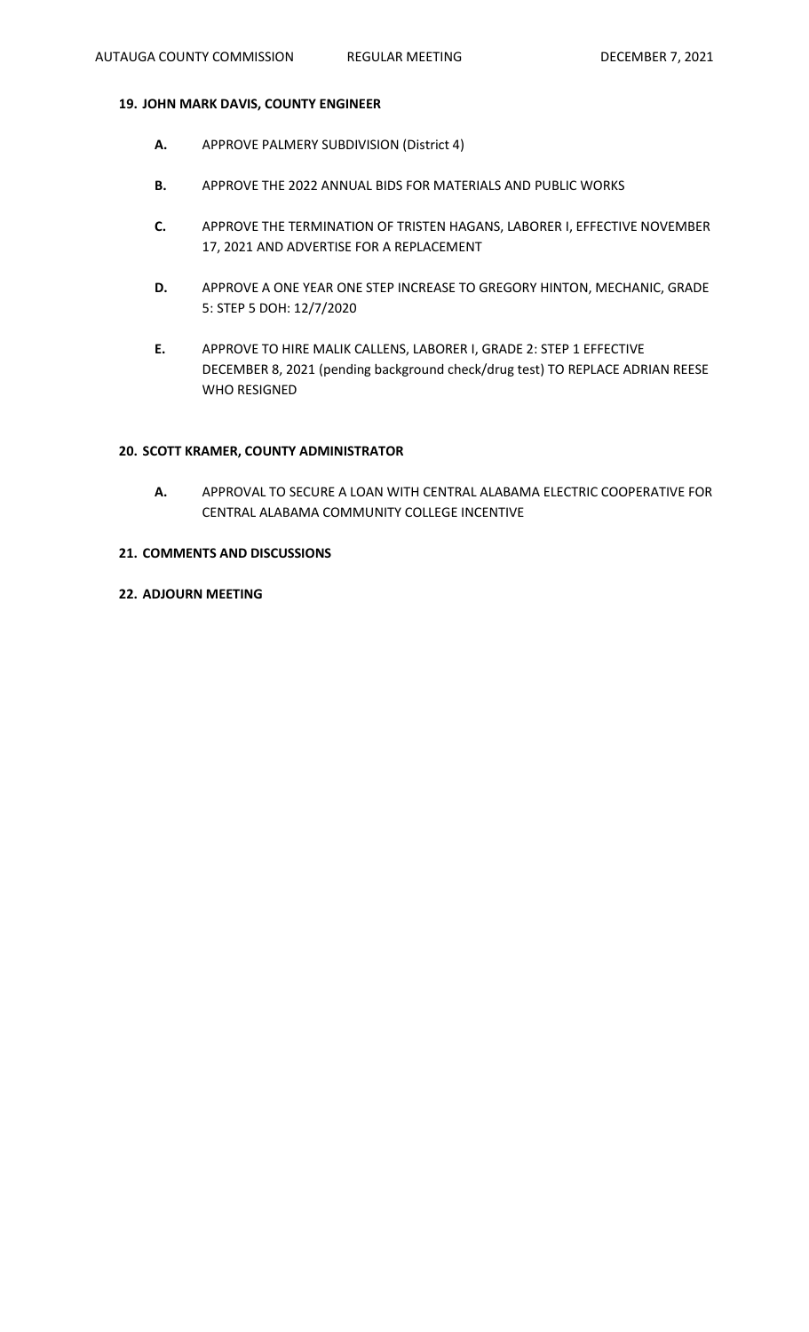# **19. JOHN MARK DAVIS, COUNTY ENGINEER**

- **A.** APPROVE PALMERY SUBDIVISION (District 4)
- **B.** APPROVE THE 2022 ANNUAL BIDS FOR MATERIALS AND PUBLIC WORKS
- **C.** APPROVE THE TERMINATION OF TRISTEN HAGANS, LABORER I, EFFECTIVE NOVEMBER 17, 2021 AND ADVERTISE FOR A REPLACEMENT
- **D.** APPROVE A ONE YEAR ONE STEP INCREASE TO GREGORY HINTON, MECHANIC, GRADE 5: STEP 5 DOH: 12/7/2020
- **E.** APPROVE TO HIRE MALIK CALLENS, LABORER I, GRADE 2: STEP 1 EFFECTIVE DECEMBER 8, 2021 (pending background check/drug test) TO REPLACE ADRIAN REESE WHO RESIGNED

### **20. SCOTT KRAMER, COUNTY ADMINISTRATOR**

**A.** APPROVAL TO SECURE A LOAN WITH CENTRAL ALABAMA ELECTRIC COOPERATIVE FOR CENTRAL ALABAMA COMMUNITY COLLEGE INCENTIVE

# **21. COMMENTS AND DISCUSSIONS**

**22. ADJOURN MEETING**